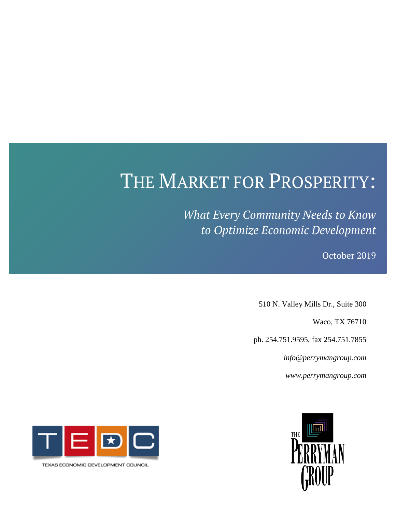# THE MARKET FOR PROSPERITY:

*What Every Community Needs to Know to Optimize Economic Development*

**THE PERRYMAN GROUP** October 2019

510 N. Valley Mills Dr., Suite 300

Waco, TX 76710

ph. 254.751.9595, fax 254.751.7855

*[info@perrymangroup.com](mailto:info@perrymangroup.com)*

*www.perrymangroup.com*





TEXAS ECONOMIC DEVELOPMENT COUNCIL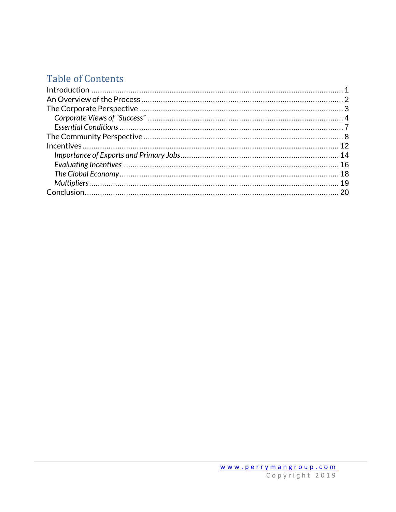## **Table of Contents**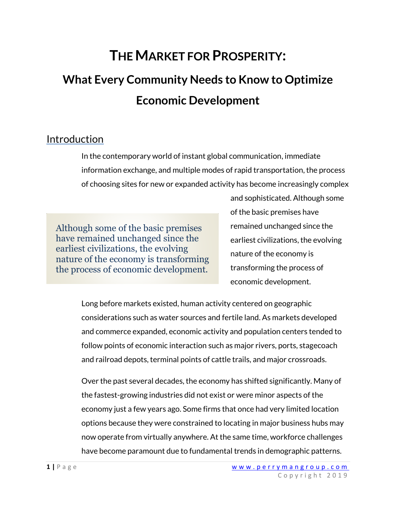## **THE MARKET FOR PROSPERITY:**

# **What Every Community Needs to Know to Optimize Economic Development**

## <span id="page-2-0"></span>Introduction

In the contemporary world of instant global communication, immediate information exchange, and multiple modes of rapid transportation, the process of choosing sites for new or expanded activity has become increasingly complex

Although some of the basic premises have remained unchanged since the earliest civilizations, the evolving nature of the economy is transforming the process of economic development.

and sophisticated. Although some of the basic premises have remained unchanged since the earliest civilizations, the evolving nature of the economy is transforming the process of economic development.

Long before markets existed, human activity centered on geographic considerations such as water sources and fertile land. As markets developed and commerce expanded, economic activity and population centers tended to follow points of economic interaction such as major rivers, ports, stagecoach and railroad depots, terminal points of cattle trails, and major crossroads.

Over the past several decades, the economy has shifted significantly. Many of the fastest-growing industries did not exist or were minor aspects of the economy just a few years ago. Some firms that once had very limited location options because they were constrained to locating in major business hubs may now operate from virtually anywhere. At the same time, workforce challenges have become paramount due to fundamental trends in demographic patterns.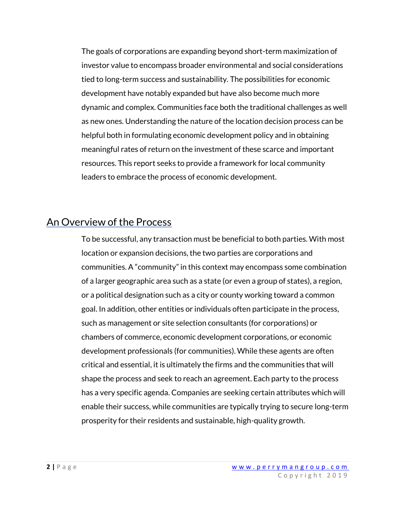The goals of corporations are expanding beyond short-term maximization of investor value to encompass broader environmental and social considerations tied to long-term success and sustainability. The possibilities for economic development have notably expanded but have also become much more dynamic and complex. Communities face both the traditional challenges as well as new ones. Understanding the nature of the location decision process can be helpful both in formulating economic development policy and in obtaining meaningful rates of return on the investment of these scarce and important resources. This report seeks to provide a framework for local community leaders to embrace the process of economic development.

## <span id="page-3-0"></span>An Overview of the Process

To be successful, any transaction must be beneficial to both parties. With most location or expansion decisions, the two parties are corporations and communities. A "community" in this context may encompass some combination of a larger geographic area such as a state (or even a group of states), a region, or a political designation such as a city or county working toward a common goal. In addition, other entities or individuals often participate in the process, such as management or site selection consultants (for corporations) or chambers of commerce, economic development corporations, or economic development professionals (for communities). While these agents are often critical and essential, it is ultimately the firms and the communities that will shape the process and seek to reach an agreement. Each party to the process has a very specific agenda. Companies are seeking certain attributes which will enable their success, while communities are typically trying to secure long-term prosperity for their residents and sustainable, high-quality growth.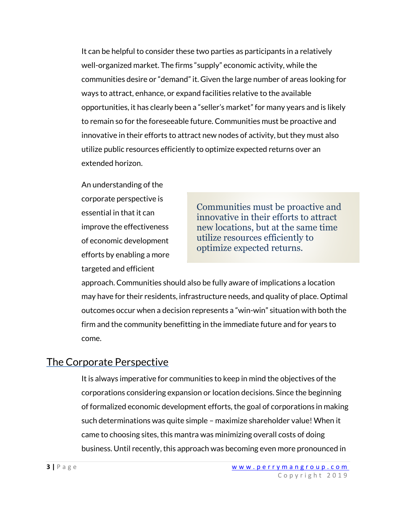It can be helpful to consider these two parties as participants in a relatively well-organized market. The firms "supply" economic activity, while the communities desire or "demand" it. Given the large number of areas looking for ways to attract, enhance, or expand facilities relative to the available opportunities, it has clearly been a "seller's market" for many years and is likely to remain so for the foreseeable future. Communities must be proactive and innovative in their efforts to attract new nodes of activity, but they must also utilize public resources efficiently to optimize expected returns over an extended horizon.

An understanding of the corporate perspective is essential in that it can improve the effectiveness of economic development efforts by enabling a more targeted and efficient

Communities must be proactive and innovative in their efforts to attract new locations, but at the same time utilize resources efficiently to optimize expected returns.

approach. Communities should also be fully aware of implications a location may have for their residents, infrastructure needs, and quality of place. Optimal outcomes occur when a decision represents a "win-win" situation with both the firm and the community benefitting in the immediate future and for years to come.

## <span id="page-4-0"></span>The Corporate Perspective

It is always imperative for communities to keep in mind the objectives of the corporations considering expansion or location decisions. Since the beginning of formalized economic development efforts, the goal of corporations in making such determinations was quite simple – maximize shareholder value! When it came to choosing sites, this mantra was minimizing overall costs of doing business. Until recently, this approach was becoming even more pronounced in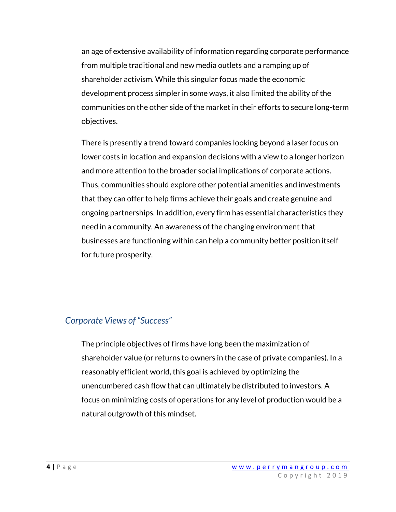an age of extensive availability of information regarding corporate performance from multiple traditional and new media outlets and a ramping up of shareholder activism. While this singular focus made the economic development process simpler in some ways, it also limited the ability of the communities on the other side of the market in their efforts to secure long-term objectives.

There is presently a trend toward companies looking beyond a laser focus on lower costs in location and expansion decisions with a view to a longer horizon and more attention to the broader social implications of corporate actions. Thus, communities should explore other potential amenities and investments that they can offer to help firms achieve their goals and create genuine and ongoing partnerships. In addition, every firm has essential characteristics they need in a community. An awareness of the changing environment that businesses are functioning within can help a community better position itself for future prosperity.

### <span id="page-5-0"></span>*Corporate Views of "Success"*

The principle objectives of firms have long been the maximization of shareholder value (or returns to owners in the case of private companies). In a reasonably efficient world, this goal is achieved by optimizing the unencumbered cash flow that can ultimately be distributed to investors. A focus on minimizing costs of operations for any level of production would be a natural outgrowth of this mindset.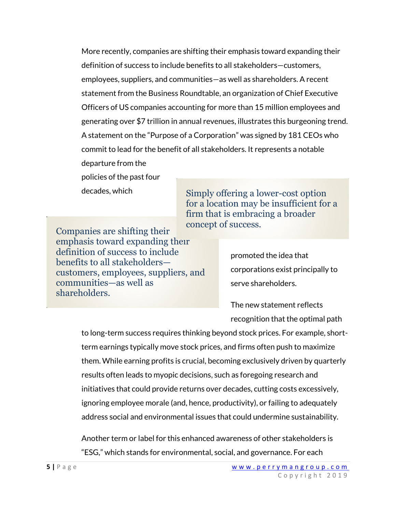More recently, companies are shifting their emphasis toward expanding their definition of success to include benefits to all stakeholders—customers, employees, suppliers, and communities—as well as shareholders. A recent statement from the Business Roundtable, an organization of Chief Executive Officers of US companies accounting for more than 15 million employees and generating over \$7 trillion in annual revenues, illustrates this burgeoning trend. A statement on the "Purpose of a Corporation" was signed by 181 CEOs who commit to lead for the benefit of all stakeholders. It represents a notable departure from the

policies of the past four decades, which

Companies are shifting their emphasis toward expanding their definition of success to include benefits to all stakeholders customers, employees, suppliers, and communities—as well as shareholders.

Simply offering a lower-cost option for a location may be insufficient for a firm that is embracing a broader concept of success.

> promoted the idea that corporations exist principally to serve shareholders.

The new statement reflects recognition that the optimal path

to long-term success requires thinking beyond stock prices. For example, shortterm earnings typically move stock prices, and firms often push to maximize them. While earning profits is crucial, becoming exclusively driven by quarterly results often leads to myopic decisions, such as foregoing research and initiatives that could provide returns over decades, cutting costs excessively, ignoring employee morale (and, hence, productivity), or failing to adequately address social and environmental issues that could undermine sustainability.

Another term or label for this enhanced awareness of other stakeholders is "ESG," which stands for environmental, social, and governance. For each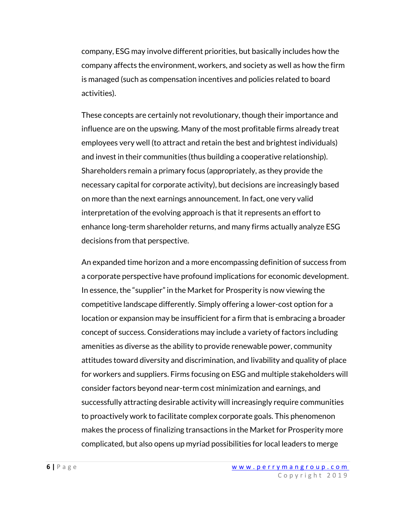company, ESG may involve different priorities, but basically includes how the company affects the environment, workers, and society as well as how the firm is managed (such as compensation incentives and policies related to board activities).

These concepts are certainly not revolutionary, though their importance and influence are on the upswing. Many of the most profitable firms already treat employees very well (to attract and retain the best and brightest individuals) and invest in their communities (thus building a cooperative relationship). Shareholders remain a primary focus (appropriately, as they provide the necessary capital for corporate activity), but decisions are increasingly based on more than the next earnings announcement. In fact, one very valid interpretation of the evolving approach is that it represents an effort to enhance long-term shareholder returns, and many firms actually analyze ESG decisions from that perspective.

An expanded time horizon and a more encompassing definition of success from a corporate perspective have profound implications for economic development. In essence, the "supplier" in the Market for Prosperity is now viewing the competitive landscape differently. Simply offering a lower-cost option for a location or expansion may be insufficient for a firm that is embracing a broader concept of success. Considerations may include a variety of factors including amenities as diverse as the ability to provide renewable power, community attitudes toward diversity and discrimination, and livability and quality of place for workers and suppliers. Firms focusing on ESG and multiple stakeholders will consider factors beyond near-term cost minimization and earnings, and successfully attracting desirable activity will increasingly require communities to proactively work to facilitate complex corporate goals. This phenomenon makes the process of finalizing transactions in the Market for Prosperity more complicated, but also opens up myriad possibilities for local leaders to merge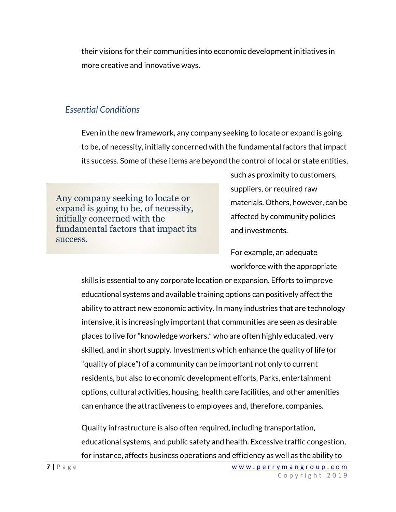their visions for their communities into economic development initiatives in more creative and innovative ways.

## <span id="page-8-0"></span>*Essential Conditions*

Even in the new framework, any company seeking to locate or expand is going to be, of necessity, initially concerned with the fundamental factors that impact its success. Some of these items are beyond the control of local or state entities,

Any company seeking to locate or expand is going to be, of necessity, initially concerned with the fundamental factors that impact its success.

such as proximity to customers, suppliers, or required raw materials. Others, however, can be affected by community policies and investments.

For example, an adequate workforce with the appropriate

skills is essential to any corporate location or expansion. Efforts to improve educational systems and available training options can positively affect the ability to attract new economic activity. In many industries that are technology intensive, it is increasingly important that communities are seen as desirable places to live for "knowledge workers," who are often highly educated, very skilled, and in short supply. Investments which enhance the quality of life (or "quality of place") of a community can be important not only to current residents, but also to economic development efforts. Parks, entertainment options, cultural activities, housing, health care facilities, and other amenities can enhance the attractiveness to employees and, therefore, companies.

Quality infrastructure is also often required, including transportation, educational systems, and public safety and health. Excessive traffic congestion, for instance, affects business operations and efficiency as well as the ability to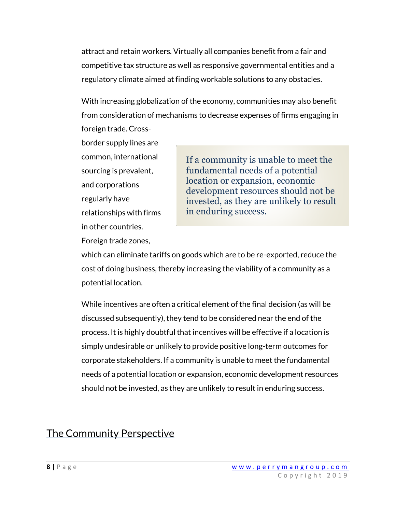attract and retain workers. Virtually all companies benefit from a fair and competitive tax structure as well as responsive governmental entities and a regulatory climate aimed at finding workable solutions to any obstacles.

With increasing globalization of the economy, communities may also benefit from consideration of mechanisms to decrease expenses of firms engaging in foreign trade. Cross-

border supply lines are common, international sourcing is prevalent, and corporations regularly have relationships with firms in other countries.

Foreign trade zones,

If a community is unable to meet the fundamental needs of a potential location or expansion, economic development resources should not be invested, as they are unlikely to result in enduring success.

which can eliminate tariffs on goods which are to be re-exported, reduce the cost of doing business, thereby increasing the viability of a community as a potential location.

While incentives are often a critical element of the final decision (as will be discussed subsequently), they tend to be considered near the end of the process. It is highly doubtful that incentives will be effective if a location is simply undesirable or unlikely to provide positive long-term outcomes for corporate stakeholders. If a community is unable to meet the fundamental needs of a potential location or expansion, economic development resources should not be invested, as they are unlikely to result in enduring success.

## <span id="page-9-0"></span>The Community Perspective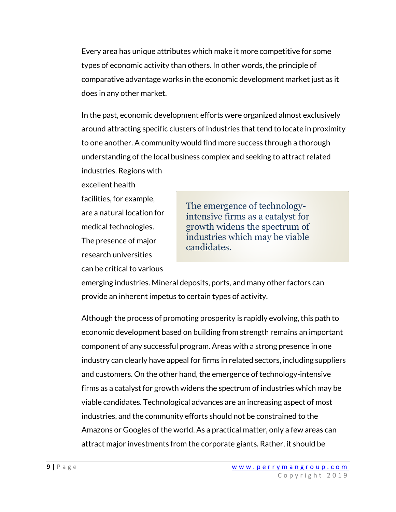Every area has unique attributes which make it more competitive for some types of economic activity than others. In other words, the principle of comparative advantage works in the economic development market just as it does in any other market.

In the past, economic development efforts were organized almost exclusively around attracting specific clusters of industries that tend to locate in proximity to one another. A community would find more success through a thorough understanding of the local business complex and seeking to attract related industries. Regions with

excellent health facilities, for example, are a natural location for medical technologies. The presence of major research universities can be critical to various

The emergence of technologyintensive firms as a catalyst for growth widens the spectrum of industries which may be viable candidates.

emerging industries. Mineral deposits, ports, and many other factors can provide an inherent impetus to certain types of activity.

Although the process of promoting prosperity is rapidly evolving, this path to economic development based on building from strength remains an important component of any successful program. Areas with a strong presence in one industry can clearly have appeal for firms in related sectors, including suppliers and customers. On the other hand, the emergence of technology-intensive firms as a catalyst for growth widens the spectrum of industries which may be viable candidates. Technological advances are an increasing aspect of most industries, and the community efforts should not be constrained to the Amazons or Googles of the world. As a practical matter, only a few areas can attract major investments from the corporate giants. Rather, it should be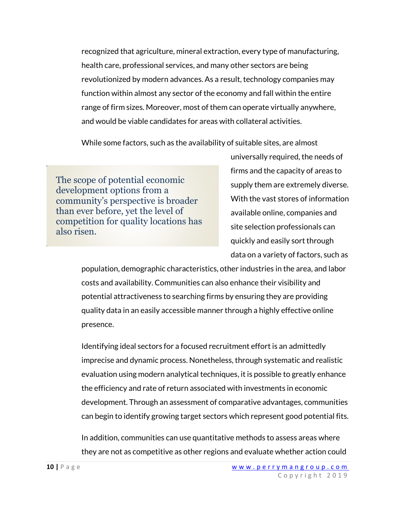recognized that agriculture, mineral extraction, every type of manufacturing, health care, professional services, and many other sectors are being revolutionized by modern advances. As a result, technology companies may function within almost any sector of the economy and fall within the entire range of firm sizes. Moreover, most of them can operate virtually anywhere, and would be viable candidates for areas with collateral activities.

While some factors, such as the availability of suitable sites, are almost

The scope of potential economic development options from a community's perspective is broader than ever before, yet the level of competition for quality locations has also risen.

universally required, the needs of firms and the capacity of areas to supply them are extremely diverse. With the vast stores of information available online, companies and site selection professionals can quickly and easily sort through data on a variety of factors, such as

population, demographic characteristics, other industries in the area, and labor costs and availability. Communities can also enhance their visibility and potential attractiveness to searching firms by ensuring they are providing quality data in an easily accessible manner through a highly effective online presence.

Identifying ideal sectors for a focused recruitment effort is an admittedly imprecise and dynamic process. Nonetheless, through systematic and realistic evaluation using modern analytical techniques, it is possible to greatly enhance the efficiency and rate of return associated with investments in economic development. Through an assessment of comparative advantages, communities can begin to identify growing target sectors which represent good potential fits.

In addition, communities can use quantitative methods to assess areas where they are not as competitive as other regions and evaluate whether action could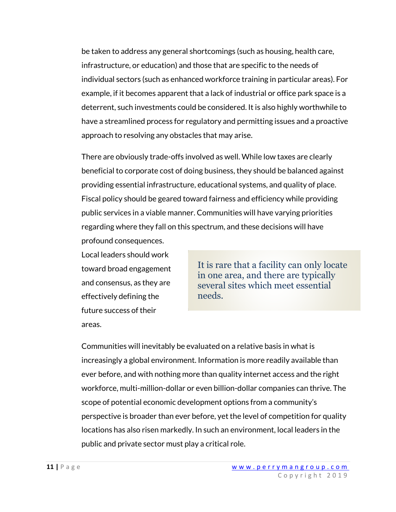be taken to address any general shortcomings (such as housing, health care, infrastructure, or education) and those that are specific to the needs of individual sectors (such as enhanced workforce training in particular areas). For example, if it becomes apparent that a lack of industrial or office park space is a deterrent, such investments could be considered. It is also highly worthwhile to have a streamlined process for regulatory and permitting issues and a proactive approach to resolving any obstacles that may arise.

There are obviously trade-offs involved as well. While low taxes are clearly beneficial to corporate cost of doing business, they should be balanced against providing essential infrastructure, educational systems, and quality of place. Fiscal policy should be geared toward fairness and efficiency while providing public services in a viable manner. Communities will have varying priorities regarding where they fall on this spectrum, and these decisions will have profound consequences.

Local leaders should work toward broad engagement and consensus, as they are effectively defining the future success of their areas.

It is rare that a facility can only locate in one area, and there are typically several sites which meet essential needs.

Communities will inevitably be evaluated on a relative basis in what is increasingly a global environment. Information is more readily available than ever before, and with nothing more than quality internet access and the right workforce, multi-million-dollar or even billion-dollar companies can thrive. The scope of potential economic development options from a community's perspective is broader than ever before, yet the level of competition for quality locations has also risen markedly. In such an environment, local leaders in the public and private sector must play a critical role.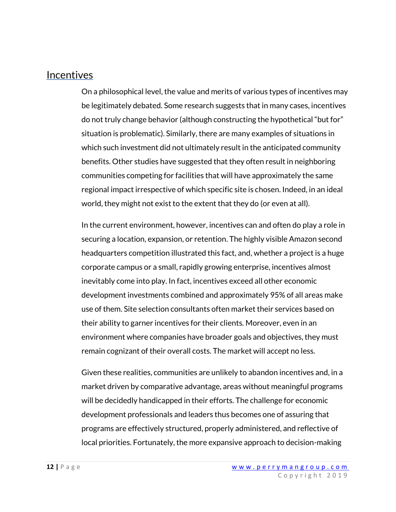## <span id="page-13-0"></span>**Incentives**

On a philosophical level, the value and merits of various types of incentives may be legitimately debated. Some research suggests that in many cases, incentives do not truly change behavior (although constructing the hypothetical "but for" situation is problematic). Similarly, there are many examples of situations in which such investment did not ultimately result in the anticipated community benefits. Other studies have suggested that they often result in neighboring communities competing for facilities that will have approximately the same regional impact irrespective of which specific site is chosen. Indeed, in an ideal world, they might not exist to the extent that they do (or even at all).

In the current environment, however, incentives can and often do play a role in securing a location, expansion, or retention. The highly visible Amazon second headquarters competition illustrated this fact, and, whether a project is a huge corporate campus or a small, rapidly growing enterprise, incentives almost inevitably come into play. In fact, incentives exceed all other economic development investments combined and approximately 95% of all areas make use of them. Site selection consultants often market their services based on their ability to garner incentives for their clients. Moreover, even in an environment where companies have broader goals and objectives, they must remain cognizant of their overall costs. The market will accept no less.

Given these realities, communities are unlikely to abandon incentives and, in a market driven by comparative advantage, areas without meaningful programs will be decidedly handicapped in their efforts. The challenge for economic development professionals and leaders thus becomes one of assuring that programs are effectively structured, properly administered, and reflective of local priorities. Fortunately, the more expansive approach to decision-making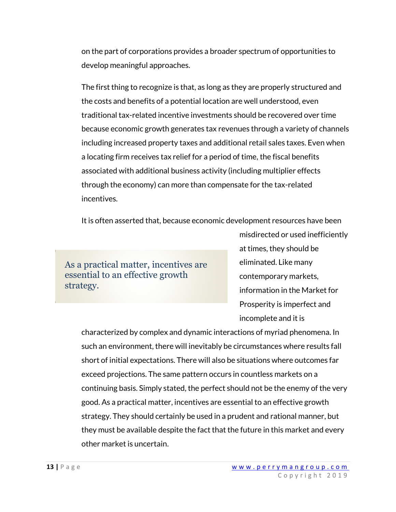on the part of corporations provides a broader spectrum of opportunities to develop meaningful approaches.

The first thing to recognize is that, as long as they are properly structured and the costs and benefits of a potential location are well understood, even traditional tax-related incentive investments should be recovered over time because economic growth generates tax revenues through a variety of channels including increased property taxes and additional retail sales taxes. Even when a locating firm receives tax relief for a period of time, the fiscal benefits associated with additional business activity (including multiplier effects through the economy) can more than compensate for the tax-related incentives.

It is often asserted that, because economic development resources have been

As a practical matter, incentives are essential to an effective growth strategy.

misdirected or used inefficiently at times, they should be eliminated. Like many contemporary markets, information in the Market for Prosperity is imperfect and incomplete and it is

characterized by complex and dynamic interactions of myriad phenomena. In such an environment, there will inevitably be circumstances where results fall short of initial expectations. There will also be situations where outcomes far exceed projections. The same pattern occurs in countless markets on a continuing basis. Simply stated, the perfect should not be the enemy of the very good. As a practical matter, incentives are essential to an effective growth strategy. They should certainly be used in a prudent and rational manner, but they must be available despite the fact that the future in this market and every other market is uncertain.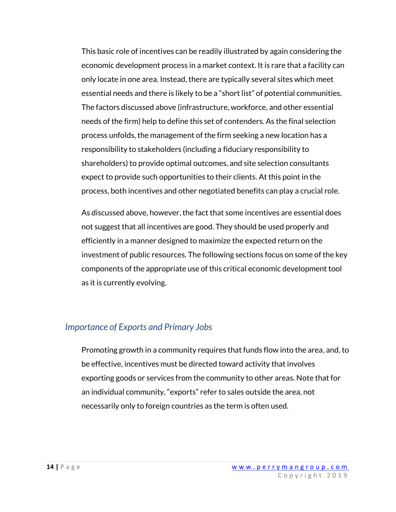This basic role of incentives can be readily illustrated by again considering the economic development process in a market context. It is rare that a facility can only locate in one area. Instead, there are typically several sites which meet essential needs and there is likely to be a "short list" of potential communities. The factors discussed above (infrastructure, workforce, and other essential needs of the firm) help to define this set of contenders. As the final selection process unfolds, the management of the firm seeking a new location has a responsibility to stakeholders (including a fiduciary responsibility to shareholders) to provide optimal outcomes, and site selection consultants expect to provide such opportunities to their clients. At this point in the process, both incentives and other negotiated benefits can play a crucial role.

As discussed above, however, the fact that some incentives are essential does not suggest that all incentives are good. They should be used properly and efficiently in a manner designed to maximize the expected return on the investment of public resources. The following sections focus on some of the key components of the appropriate use of this critical economic development tool as it is currently evolving.

#### <span id="page-15-0"></span>*Importance of Exports and Primary Jobs*

Promoting growth in a community requires that funds flow into the area, and, to be effective, incentives must be directed toward activity that involves exporting goods or services from the community to other areas. Note that for an individual community, "exports" refer to sales outside the area, not necessarily only to foreign countries as the term is often used.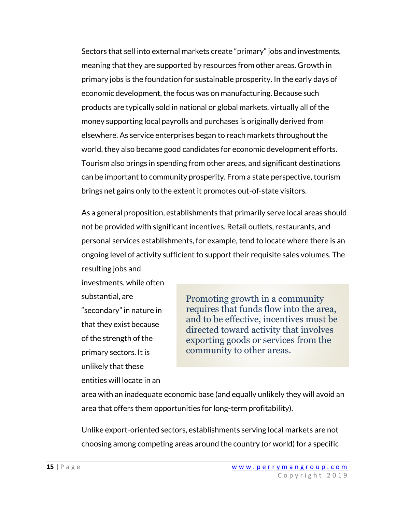Sectors that sell into external markets create "primary" jobs and investments, meaning that they are supported by resources from other areas. Growth in primary jobs is the foundation for sustainable prosperity. In the early days of economic development, the focus was on manufacturing. Because such products are typically sold in national or global markets, virtually all of the money supporting local payrolls and purchases is originally derived from elsewhere. As service enterprises began to reach markets throughout the world, they also became good candidates for economic development efforts. Tourism also brings in spending from other areas, and significant destinations can be important to community prosperity. From a state perspective, tourism brings net gains only to the extent it promotes out-of-state visitors.

As a general proposition, establishments that primarily serve local areas should not be provided with significant incentives. Retail outlets, restaurants, and personal services establishments, for example, tend to locate where there is an ongoing level of activity sufficient to support their requisite sales volumes. The resulting jobs and

investments, while often substantial, are "secondary" in nature in that they exist because of the strength of the primary sectors. It is unlikely that these entities will locate in an

Promoting growth in a community requires that funds flow into the area, and to be effective, incentives must be directed toward activity that involves exporting goods or services from the community to other areas.

area with an inadequate economic base (and equally unlikely they will avoid an area that offers them opportunities for long-term profitability).

Unlike export-oriented sectors, establishments serving local markets are not choosing among competing areas around the country (or world) for a specific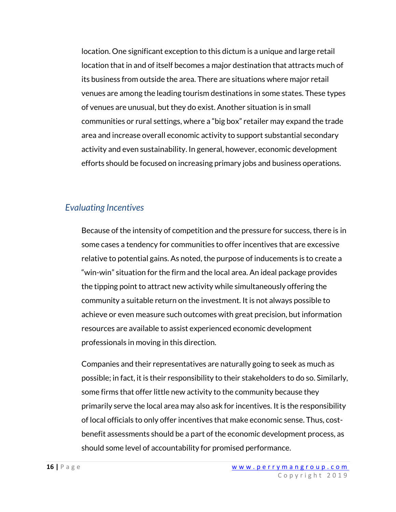location. One significant exception to this dictum is a unique and large retail location that in and of itself becomes a major destination that attracts much of its business from outside the area. There are situations where major retail venues are among the leading tourism destinations in some states. These types of venues are unusual, but they do exist. Another situation is in small communities or rural settings, where a "big box" retailer may expand the trade area and increase overall economic activity to support substantial secondary activity and even sustainability. In general, however, economic development efforts should be focused on increasing primary jobs and business operations.

### <span id="page-17-0"></span>*Evaluating Incentives*

Because of the intensity of competition and the pressure for success, there is in some cases a tendency for communities to offer incentives that are excessive relative to potential gains. As noted, the purpose of inducements is to create a "win-win" situation for the firm and the local area. An ideal package provides the tipping point to attract new activity while simultaneously offering the community a suitable return on the investment. It is not always possible to achieve or even measure such outcomes with great precision, but information resources are available to assist experienced economic development professionals in moving in this direction.

Companies and their representatives are naturally going to seek as much as possible; in fact, it is their responsibility to their stakeholders to do so. Similarly, some firms that offer little new activity to the community because they primarily serve the local area may also ask for incentives. It is the responsibility of local officials to only offer incentives that make economic sense. Thus, costbenefit assessments should be a part of the economic development process, as should some level of accountability for promised performance.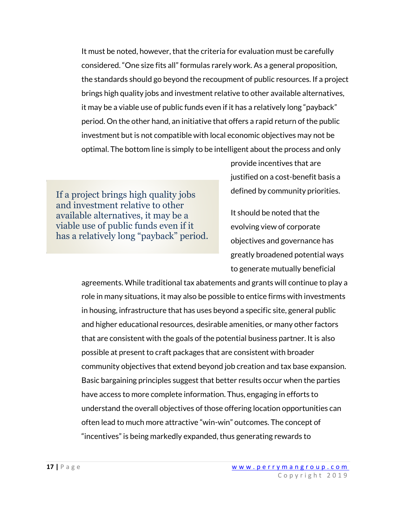It must be noted, however, that the criteria for evaluation must be carefully considered. "One size fits all" formulas rarely work. As a general proposition, the standards should go beyond the recoupment of public resources. If a project brings high quality jobs and investment relative to other available alternatives, it may be a viable use of public funds even if it has a relatively long "payback" period. On the other hand, an initiative that offers a rapid return of the public investment but is not compatible with local economic objectives may not be optimal. The bottom line is simply to be intelligent about the process and only

If a project brings high quality jobs and investment relative to other available alternatives, it may be a viable use of public funds even if it has a relatively long "payback" period.

provide incentives that are justified on a cost-benefit basis a defined by community priorities.

It should be noted that the evolving view of corporate objectives and governance has greatly broadened potential ways to generate mutually beneficial

agreements. While traditional tax abatements and grants will continue to play a role in many situations, it may also be possible to entice firms with investments in housing, infrastructure that has uses beyond a specific site, general public and higher educational resources, desirable amenities, or many other factors that are consistent with the goals of the potential business partner. It is also possible at present to craft packages that are consistent with broader community objectives that extend beyond job creation and tax base expansion. Basic bargaining principles suggest that better results occur when the parties have access to more complete information. Thus, engaging in efforts to understand the overall objectives of those offering location opportunities can often lead to much more attractive "win-win" outcomes. The concept of "incentives" is being markedly expanded, thus generating rewards to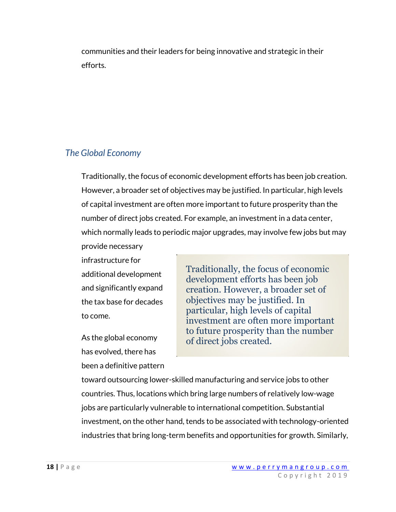communities and their leaders for being innovative and strategic in their efforts.

### <span id="page-19-0"></span>*The Global Economy*

Traditionally, the focus of economic development efforts has been job creation. However, a broader set of objectives may be justified. In particular, high levels of capital investment are often more important to future prosperity than the number of direct jobs created. For example, an investment in a data center, which normally leads to periodic major upgrades, may involve few jobs but may

provide necessary infrastructure for additional development and significantly expand the tax base for decades to come.

As the global economy has evolved, there has been a definitive pattern Traditionally, the focus of economic development efforts has been job creation. However, a broader set of objectives may be justified. In particular, high levels of capital investment are often more important to future prosperity than the number of direct jobs created.

toward outsourcing lower-skilled manufacturing and service jobs to other countries. Thus, locations which bring large numbers of relatively low-wage jobs are particularly vulnerable to international competition. Substantial investment, on the other hand, tends to be associated with technology-oriented industries that bring long-term benefits and opportunities for growth. Similarly,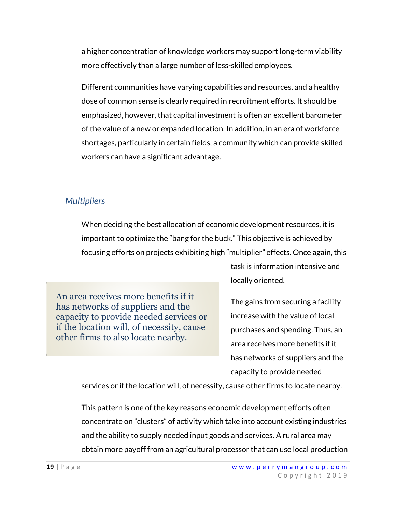a higher concentration of knowledge workers may support long-term viability more effectively than a large number of less-skilled employees.

Different communities have varying capabilities and resources, and a healthy dose of common sense is clearly required in recruitment efforts. It should be emphasized, however, that capital investment is often an excellent barometer of the value of a new or expanded location. In addition, in an era of workforce shortages, particularly in certain fields, a community which can provide skilled workers can have a significant advantage.

## <span id="page-20-0"></span>*Multipliers*

When deciding the best allocation of economic development resources, it is important to optimize the "bang for the buck." This objective is achieved by focusing efforts on projects exhibiting high "multiplier" effects. Once again, this

An area receives more benefits if it has networks of suppliers and the capacity to provide needed services or if the location will, of necessity, cause other firms to also locate nearby.

task is information intensive and locally oriented.

The gains from securing a facility increase with the value of local purchases and spending. Thus, an area receives more benefits if it has networks of suppliers and the capacity to provide needed

services or if the location will, of necessity, cause other firms to locate nearby.

This pattern is one of the key reasons economic development efforts often concentrate on "clusters" of activity which take into account existing industries and the ability to supply needed input goods and services. A rural area may obtain more payoff from an agricultural processor that can use local production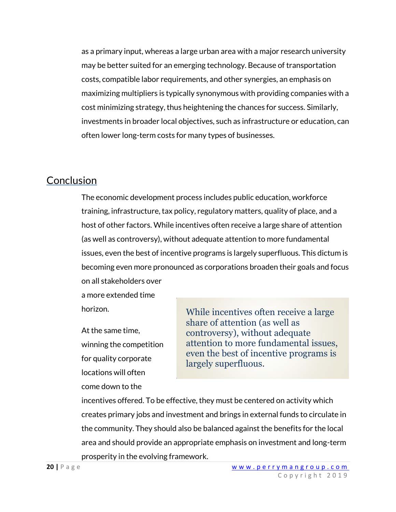as a primary input, whereas a large urban area with a major research university may be better suited for an emerging technology. Because of transportation costs, compatible labor requirements, and other synergies, an emphasis on maximizing multipliers is typically synonymous with providing companies with a cost minimizing strategy, thus heightening the chances for success. Similarly, investments in broader local objectives, such as infrastructure or education, can often lower long-term costs for many types of businesses.

### <span id="page-21-0"></span>Conclusion

The economic development process includes public education, workforce training, infrastructure, tax policy, regulatory matters, quality of place, and a host of other factors. While incentives often receive a large share of attention (as well as controversy), without adequate attention to more fundamental issues, even the best of incentive programs is largely superfluous. This dictum is becoming even more pronounced as corporations broaden their goals and focus on all stakeholders over

a more extended time horizon.

At the same time, winning the competition for quality corporate locations will often come down to the

While incentives often receive a large share of attention (as well as controversy), without adequate attention to more fundamental issues, even the best of incentive programs is largely superfluous.

incentives offered. To be effective, they must be centered on activity which creates primary jobs and investment and brings in external funds to circulate in the community. They should also be balanced against the benefits for the local area and should provide an appropriate emphasis on investment and long-term prosperity in the evolving framework.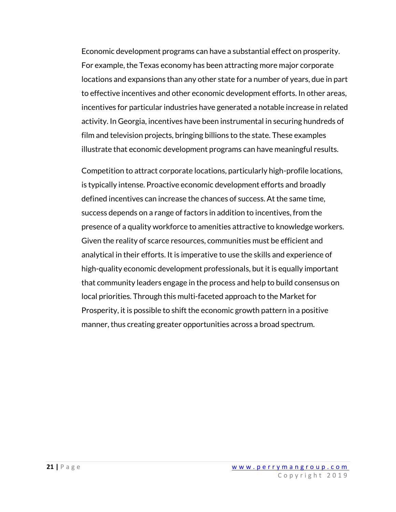Economic development programs can have a substantial effect on prosperity. For example, the Texas economy has been attracting more major corporate locations and expansions than any other state for a number of years, due in part to effective incentives and other economic development efforts. In other areas, incentives for particular industries have generated a notable increase in related activity. In Georgia, incentives have been instrumental in securing hundreds of film and television projects, bringing billions to the state. These examples illustrate that economic development programs can have meaningful results.

Competition to attract corporate locations, particularly high-profile locations, is typically intense. Proactive economic development efforts and broadly defined incentives can increase the chances of success. At the same time, success depends on a range of factors in addition to incentives, from the presence of a quality workforce to amenities attractive to knowledge workers. Given the reality of scarce resources, communities must be efficient and analytical in their efforts. It is imperative to use the skills and experience of high-quality economic development professionals, but it is equally important that community leaders engage in the process and help to build consensus on local priorities. Through this multi-faceted approach to the Market for Prosperity, it is possible to shift the economic growth pattern in a positive manner, thus creating greater opportunities across a broad spectrum.